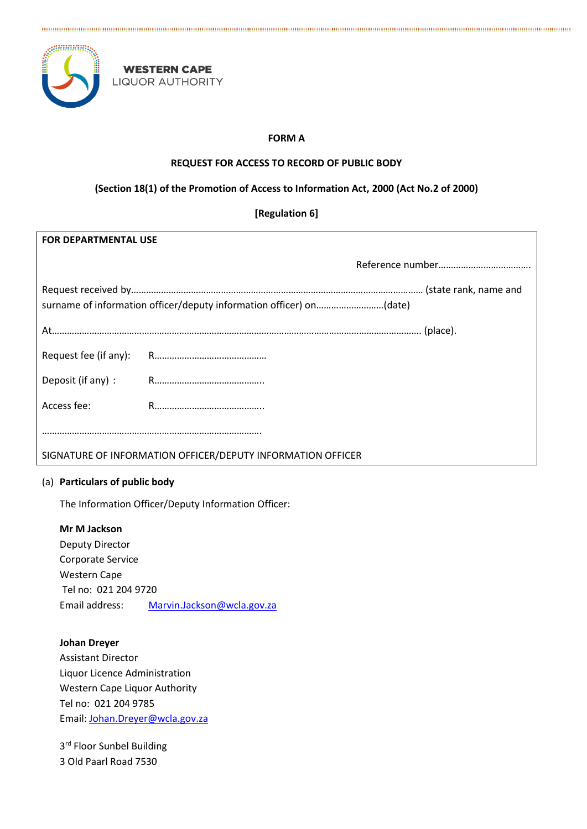

**WESTERN CAPE LIQUOR AUTHORITY** 

# **FORM A**

The continuum comparison in the continuum comparison in the continuum comparison in the continuum comparison in

## **REQUEST FOR ACCESS TO RECORD OF PUBLIC BODY**

# **(Section 18(1) of the Promotion of Access to Information Act, 2000 (Act No.2 of 2000)**

**[Regulation 6]**

| <b>FOR DEPARTMENTAL USE</b> |                                                                     |  |
|-----------------------------|---------------------------------------------------------------------|--|
|                             |                                                                     |  |
|                             | surname of information officer/deputy information officer) on(date) |  |
|                             |                                                                     |  |
| Request fee (if any):       |                                                                     |  |
| Deposit (if any):           |                                                                     |  |
| Access fee:                 |                                                                     |  |
|                             |                                                                     |  |
|                             | SIGNATURE OF INFORMATION OFFICER/DEPUTY INFORMATION OFFICER         |  |

### (a) **Particulars of public body**

The Information Officer/Deputy Information Officer:

**Mr M Jackson**

Deputy Director Corporate Service Western Cape Tel no: 021 204 9720 Email address: [Marvin.Jackson@wcla.gov.za](mailto:Marvin.Jackson@wcla.gov.za)

**Johan Dreyer**

Assistant Director Liquor Licence Administration Western Cape Liquor Authority Tel no: 021 204 9785 Email[: Johan.Dreyer@wcla.gov.za](mailto:Johan.Dreyer@wcla.gov.za)

3<sup>rd</sup> Floor Sunbel Building 3 Old Paarl Road 7530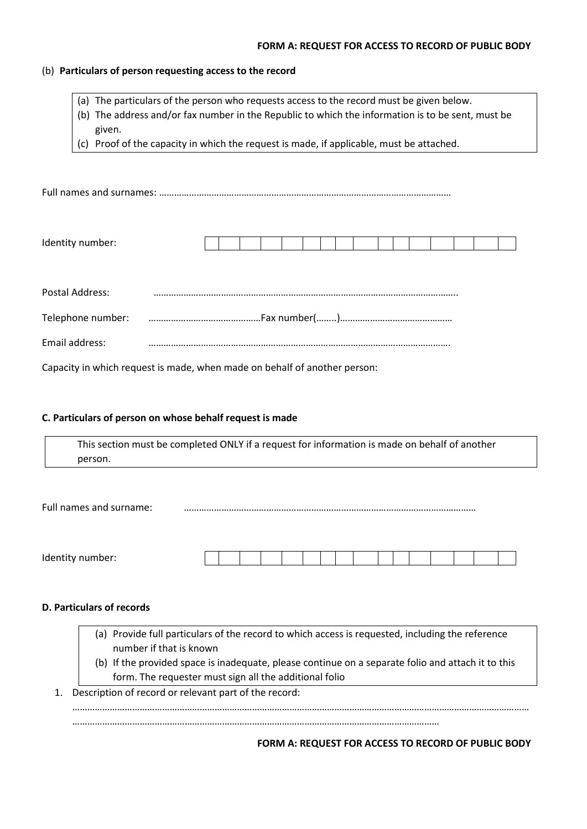#### **FORM A: REQUEST FOR ACCESS TO RECORD OF PUBLIC BODY**

#### (b) **Particulars of person requesting access to the record**

- (a) The particulars of the person who requests access to the record must be given below.
- (b) The address and/or fax number in the Republic to which the information is to be sent, must be given.
- (c) Proof of the capacity in which the request is made, if applicable, must be attached.

Full names and surnames: ………………………………………………………………………………………………………

| Iden<br>.<br>,,,,,<br>. . <b>. .</b> |  |  |  |  |  |  |  |  |
|--------------------------------------|--|--|--|--|--|--|--|--|
|                                      |  |  |  |  |  |  |  |  |

| Postal Address: |  |
|-----------------|--|
|                 |  |
| Email address:  |  |

Capacity in which request is made, when made on behalf of another person:

### **C. Particulars of person on whose behalf request is made**

This section must be completed ONLY if a request for information is made on behalf of another person.

Full names and surname: ………………………………………………………………………………………………………

| Identity number: |  |  |  |  |  |  |  |  |
|------------------|--|--|--|--|--|--|--|--|
|                  |  |  |  |  |  |  |  |  |

## **D. Particulars of records**

- (a) Provide full particulars of the record to which access is requested, including the reference number if that is known
- (b) If the provided space is inadequate, please continue on a separate folio and attach it to this form. The requester must sign all the additional folio

…………………………………………………………………………………………………………………………………………………………………

1. Description of record or relevant part of the record:

…………………………………………………………………………………………………………………………………

**FORM A: REQUEST FOR ACCESS TO RECORD OF PUBLIC BODY**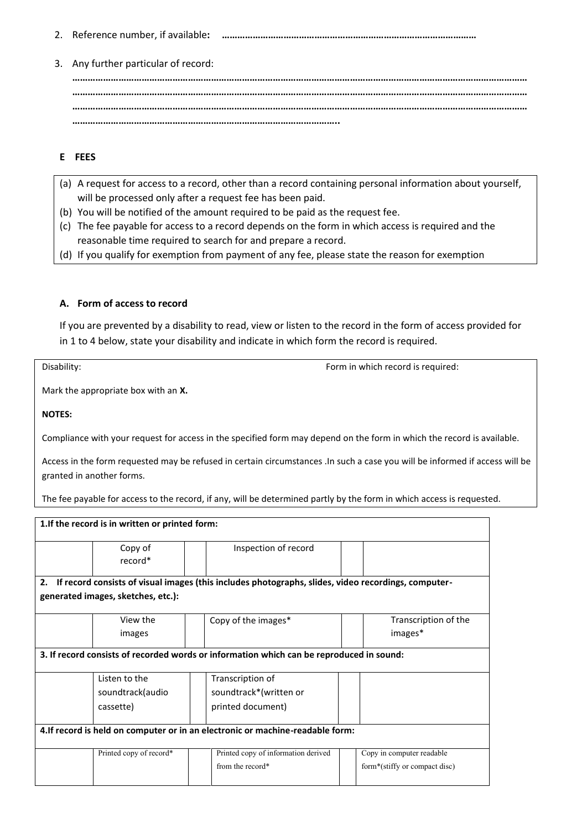- 2. Reference number, if available**: ………………………………………………………………………………………**
- 3. Any further particular of record:

**…………………………………………………………………………………………………………………………………………………………… …………………………………………………………………………………………………………………………………………………………… …………………………………………………………………………………………………………………………………………………………… …………………………………………………………………………………………..**

## **E FEES**

- (a) A request for access to a record, other than a record containing personal information about yourself, will be processed only after a request fee has been paid.
- (b) You will be notified of the amount required to be paid as the request fee.
- (c) The fee payable for access to a record depends on the form in which access is required and the reasonable time required to search for and prepare a record.
- (d) If you qualify for exemption from payment of any fee, please state the reason for exemption

### **A. Form of access to record**

If you are prevented by a disability to read, view or listen to the record in the form of access provided for in 1 to 4 below, state your disability and indicate in which form the record is required.

Disability: Disability: **Form in which record is required:**  $\blacksquare$ 

Mark the appropriate box with an **X.**

#### **NOTES:**

Compliance with your request for access in the specified form may depend on the form in which the record is available.

Access in the form requested may be refused in certain circumstances .In such a case you will be informed if access will be granted in another forms.

The fee payable for access to the record, if any, will be determined partly by the form in which access is requested.

| 1. If the record is in written or printed form:                                                           |                                                                                          |  |                                     |  |                                 |  |  |  |  |  |  |
|-----------------------------------------------------------------------------------------------------------|------------------------------------------------------------------------------------------|--|-------------------------------------|--|---------------------------------|--|--|--|--|--|--|
|                                                                                                           | Copy of<br>record*                                                                       |  | Inspection of record                |  |                                 |  |  |  |  |  |  |
| If record consists of visual images (this includes photographs, slides, video recordings, computer-<br>2. |                                                                                          |  |                                     |  |                                 |  |  |  |  |  |  |
|                                                                                                           | generated images, sketches, etc.):                                                       |  |                                     |  |                                 |  |  |  |  |  |  |
|                                                                                                           | View the<br>images                                                                       |  | Copy of the images*                 |  | Transcription of the<br>images* |  |  |  |  |  |  |
|                                                                                                           | 3. If record consists of recorded words or information which can be reproduced in sound: |  |                                     |  |                                 |  |  |  |  |  |  |
|                                                                                                           | Listen to the                                                                            |  | Transcription of                    |  |                                 |  |  |  |  |  |  |
|                                                                                                           | soundtrack(audio                                                                         |  | soundtrack*(written or              |  |                                 |  |  |  |  |  |  |
|                                                                                                           | cassette)                                                                                |  | printed document)                   |  |                                 |  |  |  |  |  |  |
| 4. If record is held on computer or in an electronic or machine-readable form:                            |                                                                                          |  |                                     |  |                                 |  |  |  |  |  |  |
|                                                                                                           | Printed copy of record*                                                                  |  | Printed copy of information derived |  | Copy in computer readable       |  |  |  |  |  |  |
|                                                                                                           |                                                                                          |  | from the record*                    |  | form*(stiffy or compact disc)   |  |  |  |  |  |  |